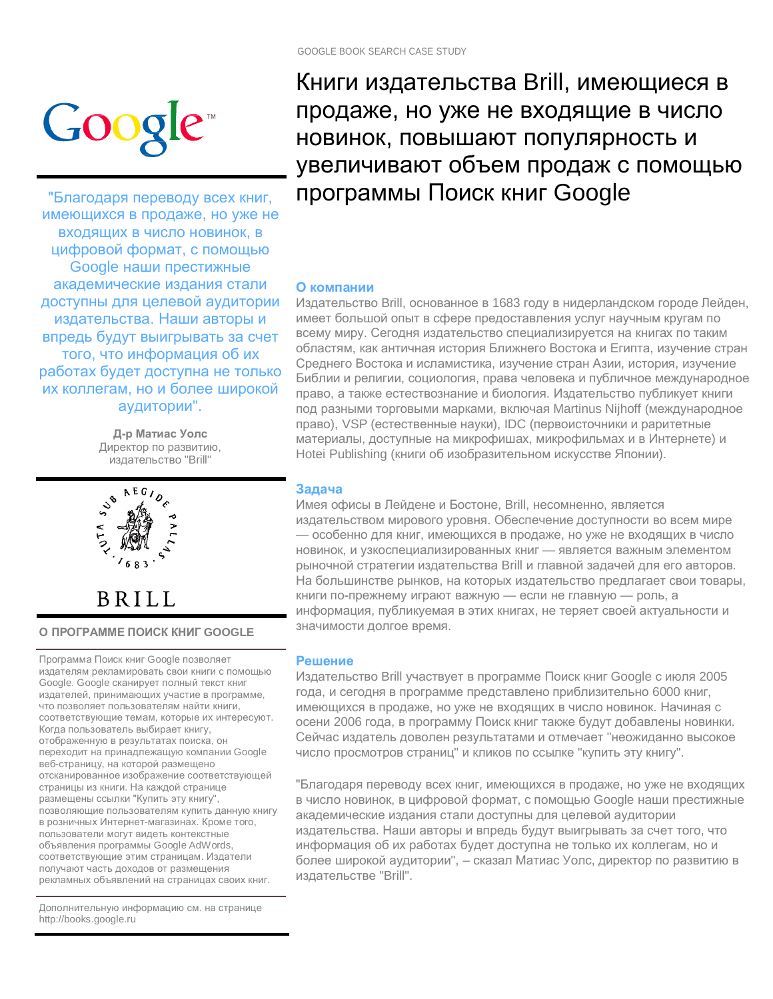

"Благодаря переводу всех книг, имеющихся в продаже, но уже не входящих в число новинок, в цифровой формат, с помощью Google наши престижные академические издания стали доступны для целевой аудитории издательства. Наши авторы и впредь будут выигрывать за счет того, что информация об их работах будет доступна не только их коллегам, но и более широкой аудитории".

> **Д-р Матиас Уолс** Директор по развитию, издательство "Brill"



**BRILL** 

**ɈɉɊɈȽɊȺɆɆȿɉɈɂɋɄɄɇɂȽ GOOGLE**

Программа Поиск книг Google позволяет издателям рекламировать свои книги с помощью Google. Google сканирует полный текст книг издателей, принимающих участие в программе, что позволяет пользователям найти книги, соответствующие темам, которые их интересуют. Когда пользователь выбирает книгу, отображенную в результатах поиска, он переходит на принадлежащую компании Google веб-страницу, на которой размещено отсканированное изображение соответствующей страницы из книги. На каждой странице размещены ссылки "Купить эту книгу", позволяющие пользователям купить данную книгу в розничных Интернет-магазинах. Кроме того, пользователи могут видеть контекстные объявления программы Google AdWords, соответствующие этим страницам. Издатели получают часть доходов от размещения рекламных объявлений на страницах своих книг.

Дополнительную информацию см. на странице http://books.google.ru

Книги издательства Brill, имеющиеся в продаже, но уже не входящие в число новинок, повышают популярность и увеличивают объем продаж с помощью программы Поиск книг Google

## **О** компании

Издательство Brill, основанное в 1683 году в нидерландском городе Лейден, имеет большой опыт в сфере предоставления услуг научным кругам по всему миру. Сегодня издательство специализируется на книгах по таким областям, как античная история Ближнего Востока и Египта, изучение стран Среднего Востока и исламистика, изучение стран Азии, история, изучение Библии и религии, социология, права человека и публичное международное право, а также естествознание и биология. Издательство публикует книги под разными торговыми марками, включая Martinus Nijhoff (международное право), VSP (естественные науки), IDC (первоисточники и раритетные материалы, доступные на микрофишах, микрофильмах и в Интернете) и Hotei Publishing (книги об изобразительном искусстве Японии).

## Задача

Имея офисы в Лейдене и Бостоне, Brill, несомненно, является издательством мирового уровня. Обеспечение доступности во всем мире — особенно для книг, имеющихся в продаже, но уже не входящих в число новинок, и узкоспециализированных книг - является важным элементом рыночной стратегии издательства Brill и главной задачей для его авторов. На большинстве рынков, на которых издательство предлагает свои товары, книги по-прежнему играют важную — если не главную — роль, а информация, публикуемая в этих книгах, не теряет своей актуальности и значимости долгое время.

## **Решение**

Издательство Brill участвует в программе Поиск книг Google с июля 2005 года, и сегодня в программе представлено приблизительно 6000 книг, имеющихся в продаже, но уже не входящих в число новинок. Начиная с осени 2006 года, в программу Поиск книг также будут добавлены новинки. Сейчас издатель доволен результатами и отмечает "неожиданно высокое число просмотров страниц" и кликов по ссылке "купить эту книгу".

"Благодаря переводу всех книг, имеющихся в продаже, но уже не входящих в число новинок, в цифровой формат, с помощью Google наши престижные академические издания стали доступны для целевой аудитории издательства. Наши авторы и впредь будут выигрывать за счет того, что информация об их работах будет доступна не только их коллегам, но и более широкой аудитории", – сказал Матиас Уолс, директор по развитию в издательстве "Brill".